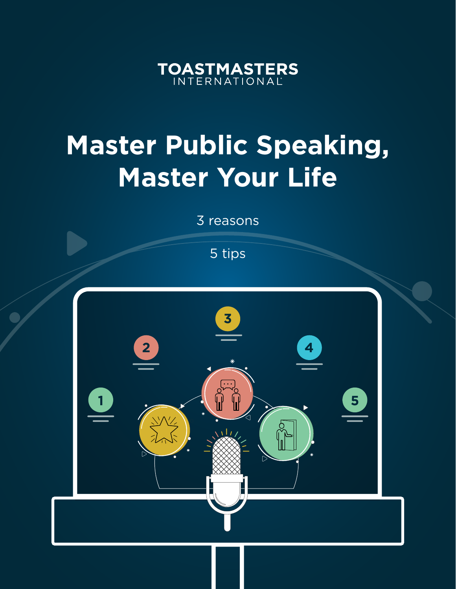

## **Master Public Speaking, Master Your Life**

3 reasons

5 tips

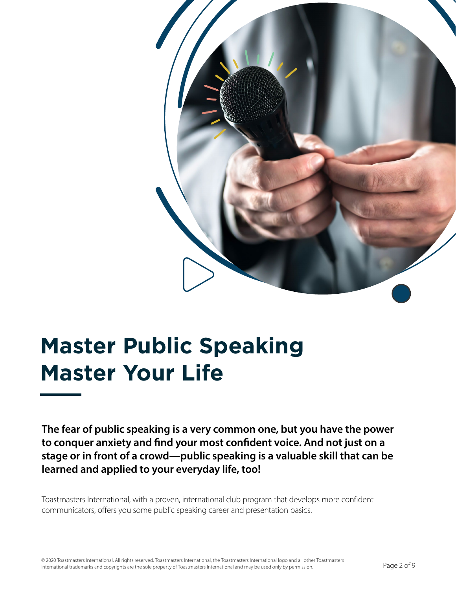

### **Master Public Speaking Master Your Life**

**The fear of public speaking is a very common one, but you have the power to conquer anxiety and find your most confident voice. And not just on a stage or in front of a crowd—public speaking is a valuable skill that can be learned and applied to your everyday life, too!** 

Toastmasters International, with a proven, international club program that develops more confident communicators, offers you some public speaking career and presentation basics.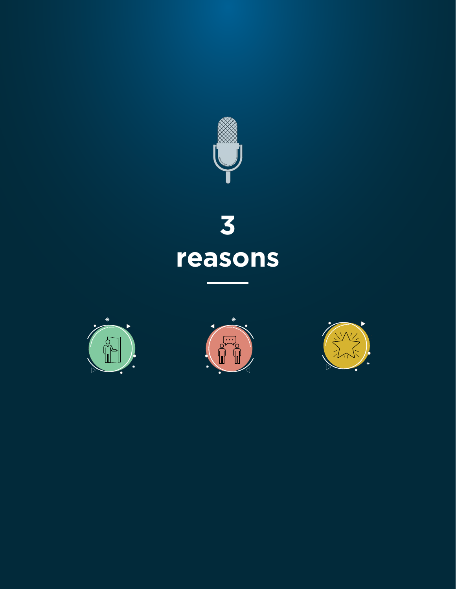

# **3 reasons**





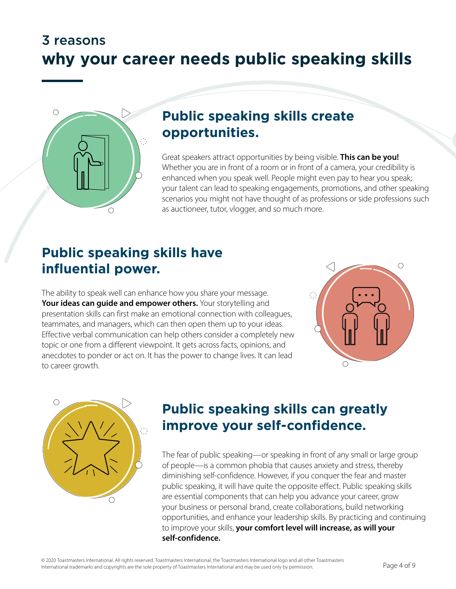#### 3 reasons **why your career needs public speaking skills**



#### **Public speaking skills create opportunities.**

Great speakers attract opportunities by being visible. **This can be you!** Whether you are in front of a room or in front of a camera, your credibility is enhanced when you speak well. People might even pay to hear you speak; your talent can lead to speaking engagements, promotions, and other speaking scenarios you might not have thought of as professions or side professions such as auctioneer, tutor, vlogger, and so much more.

#### **Public speaking skills have influential power.**

The ability to speak well can enhance how you share your message. Your ideas can quide and empower others. Your storytelling and presentation skills can first make an emotional connection with colleagues, teammates, and managers, which can then open them up to your ideas. Effective verbal communication can help others consider a completely new topic or one from a different viewpoint. It gets across facts, opinions, and anecdotes to ponder or act on. It has the power to change lives. It can lead to career growth.





#### **Public speaking skills can greatly improve your self-confidence.**

The fear of public speaking—or speaking in front of any small or large group of people—is a common phobia that causes anxiety and stress, thereby diminishing self-confidence. However, if you conquer the fear and master public speaking, it will have quite the opposite effect. Public speaking skills are essential components that can help you advance your career, grow your business or personal brand, create collaborations, build networking opportunities, and enhance your leadership skills. By practicing and continuing to improve your skills, **your comfort level will increase, as will your self-confidence.**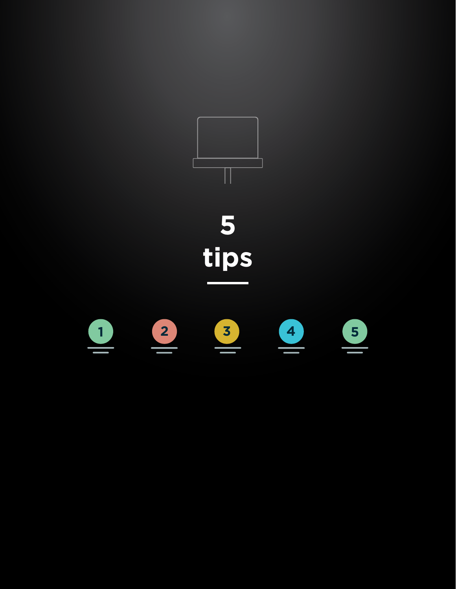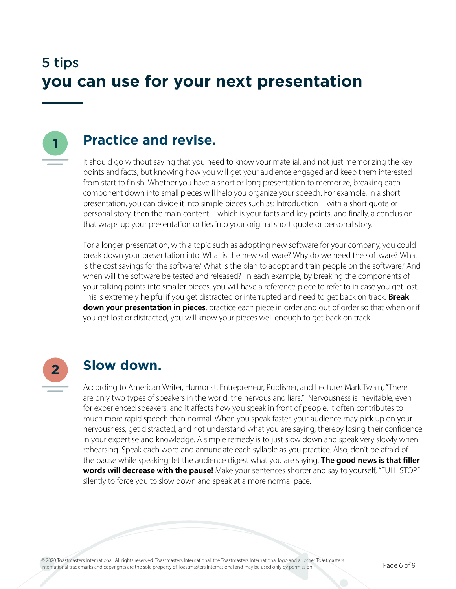#### 5 tips **you can use for your next presentation**



#### **Practice and revise.**

It should go without saying that you need to know your material, and not just memorizing the key points and facts, but knowing how you will get your audience engaged and keep them interested from start to finish. Whether you have a short or long presentation to memorize, breaking each component down into small pieces will help you organize your speech. For example, in a short presentation, you can divide it into simple pieces such as: Introduction—with a short quote or personal story, then the main content—which is your facts and key points, and finally, a conclusion that wraps up your presentation or ties into your original short quote or personal story.

For a longer presentation, with a topic such as adopting new software for your company, you could break down your presentation into: What is the new software? Why do we need the software? What is the cost savings for the software? What is the plan to adopt and train people on the software? And when will the software be tested and released? In each example, by breaking the components of your talking points into smaller pieces, you will have a reference piece to refer to in case you get lost. This is extremely helpful if you get distracted or interrupted and need to get back on track. **Break down your presentation in pieces**, practice each piece in order and out of order so that when or if you get lost or distracted, you will know your pieces well enough to get back on track.



#### **Slow down.**

According to American Writer, Humorist, Entrepreneur, Publisher, and Lecturer Mark Twain, "There are only two types of speakers in the world: the nervous and liars." Nervousness is inevitable, even for experienced speakers, and it affects how you speak in front of people. It often contributes to much more rapid speech than normal. When you speak faster, your audience may pick up on your nervousness, get distracted, and not understand what you are saying, thereby losing their confidence in your expertise and knowledge. A simple remedy is to just slow down and speak very slowly when rehearsing. Speak each word and annunciate each syllable as you practice. Also, don't be afraid of the pause while speaking; let the audience digest what you are saying. **The good news is that filler words will decrease with the pause!** Make your sentences shorter and say to yourself, "FULL STOP" silently to force you to slow down and speak at a more normal pace.

© 2020 Toastmasters International. All rights reserved. Toastmasters International, the Toastmasters International logo and all other Toastmasters<br>International trademarks and convrights are the sole property of Toastmaste International trademarks and copyrights are the sole property of Toastmasters International and may be used only by permission.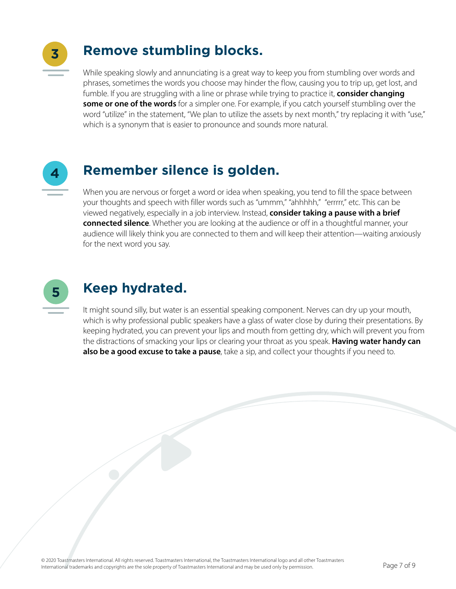

#### **Remove stumbling blocks.**

While speaking slowly and annunciating is a great way to keep you from stumbling over words and phrases, sometimes the words you choose may hinder the flow, causing you to trip up, get lost, and fumble. If you are struggling with a line or phrase while trying to practice it, **consider changing some or one of the words** for a simpler one. For example, if you catch yourself stumbling over the word "utilize" in the statement, "We plan to utilize the assets by next month," try replacing it with "use," which is a synonym that is easier to pronounce and sounds more natural.



#### **Remember silence is golden.**

When you are nervous or forget a word or idea when speaking, you tend to fill the space between your thoughts and speech with filler words such as "ummm," "ahhhhh," "errrrr," etc. This can be viewed negatively, especially in a job interview. Instead, **consider taking a pause with a brief connected silence**. Whether you are looking at the audience or off in a thoughtful manner, your audience will likely think you are connected to them and will keep their attention—waiting anxiously for the next word you say.



#### **Keep hydrated.**

It might sound silly, but water is an essential speaking component. Nerves can dry up your mouth, which is why professional public speakers have a glass of water close by during their presentations. By keeping hydrated, you can prevent your lips and mouth from getting dry, which will prevent you from the distractions of smacking your lips or clearing your throat as you speak. **Having water handy can also be a good excuse to take a pause**, take a sip, and collect your thoughts if you need to.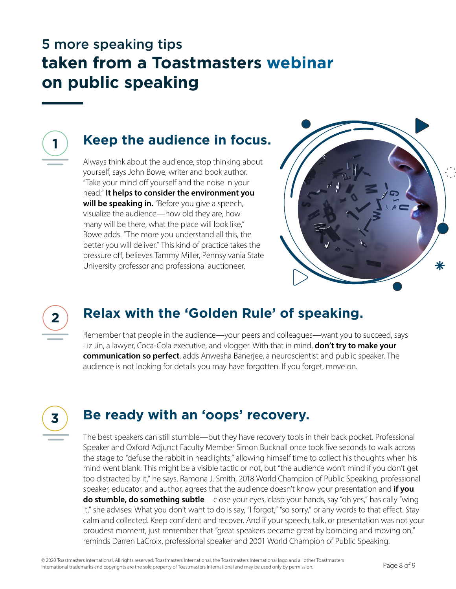#### 5 more speaking tips **taken from a Toastmasters [webinar](https://www.toastmasters.org/resources/video-library?m=-1&y=-1&c=%7B072DC44E-A875-4705-8380-5ECB9C0A06D5%7D&q=public%20speaking%20series&utm_source=webinars&utm_medium=october_2020&utm_campaign=public_speaking_webinars) on public speaking**



#### **Keep the audience in focus.**

Always think about the audience, stop thinking about yourself, says John Bowe, writer and book author. "Take your mind off yourself and the noise in your head." **It helps to consider the environment you will be speaking in.** "Before you give a speech, visualize the audience—how old they are, how many will be there, what the place will look like," Bowe adds. "The more you understand all this, the better you will deliver." This kind of practice takes the pressure off, believes Tammy Miller, Pennsylvania State University professor and professional auctioneer.





#### **Relax with the 'Golden Rule' of speaking.**

Remember that people in the audience—your peers and colleagues—want you to succeed, says Liz Jin, a lawyer, Coca-Cola executive, and vlogger. With that in mind, **don't try to make your communication so perfect**, adds Anwesha Banerjee, a neuroscientist and public speaker. The audience is not looking for details you may have forgotten. If you forget, move on.



#### **Be ready with an 'oops' recovery.**

The best speakers can still stumble—but they have recovery tools in their back pocket. Professional Speaker and Oxford Adjunct Faculty Member Simon Bucknall once took five seconds to walk across the stage to "defuse the rabbit in headlights," allowing himself time to collect his thoughts when his mind went blank. This might be a visible tactic or not, but "the audience won't mind if you don't get too distracted by it," he says. Ramona J. Smith, 2018 World Champion of Public Speaking, professional speaker, educator, and author, agrees that the audience doesn't know your presentation and **if you do stumble, do something subtle**—close your eyes, clasp your hands, say "oh yes," basically "wing it," she advises. What you don't want to do is say, "I forgot," "so sorry," or any words to that effect. Stay calm and collected. Keep confident and recover. And if your speech, talk, or presentation was not your proudest moment, just remember that "great speakers became great by bombing and moving on," reminds Darren LaCroix, professional speaker and 2001 World Champion of Public Speaking.